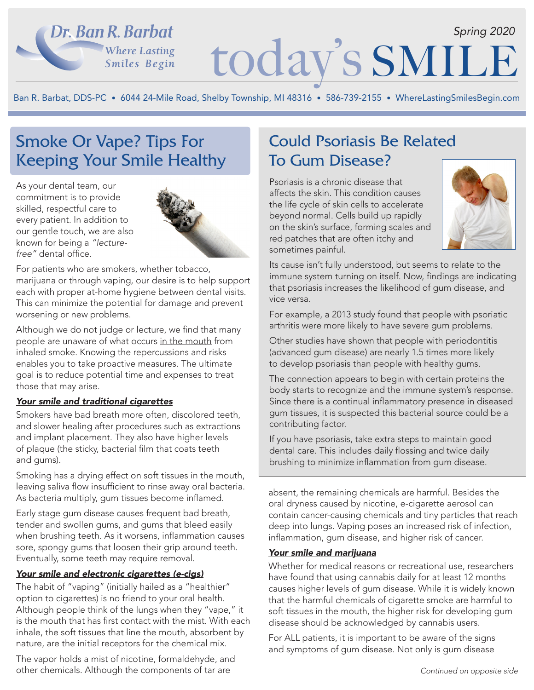## Dr. Ban R. Barbat **Where Lasting** Smiles Begin

# today's SMILI *Spring 2020*

Ban R. Barbat, DDS-PC • 6044 24-Mile Road, Shelby Township, MI 48316 • 586-739-2155 • WhereLastingSmilesBegin.com

## Smoke Or Vape? Tips For Keeping Your Smile Healthy

As your dental team, our commitment is to provide skilled, respectful care to every patient. In addition to our gentle touch, we are also known for being a *"lecturefree"* dental office.



For patients who are smokers, whether tobacco, marijuana or through vaping, our desire is to help support each with proper at-home hygiene between dental visits. This can minimize the potential for damage and prevent worsening or new problems.

Although we do not judge or lecture, we find that many people are unaware of what occurs in the mouth from inhaled smoke. Knowing the repercussions and risks enables you to take proactive measures. The ultimate goal is to reduce potential time and expenses to treat those that may arise.

### *Your smile and traditional cigarettes*

Smokers have bad breath more often, discolored teeth, and slower healing after procedures such as extractions and implant placement. They also have higher levels of plaque (the sticky, bacterial film that coats teeth and gums).

Smoking has a drying effect on soft tissues in the mouth, leaving saliva flow insufficient to rinse away oral bacteria. As bacteria multiply, gum tissues become inflamed.

Early stage gum disease causes frequent bad breath, tender and swollen gums, and gums that bleed easily when brushing teeth. As it worsens, inflammation causes sore, spongy gums that loosen their grip around teeth. Eventually, some teeth may require removal.

### *Your smile and electronic cigarettes (e-cigs)*

The habit of "vaping" (initially hailed as a "healthier" option to cigarettes) is no friend to your oral health. Although people think of the lungs when they "vape," it is the mouth that has first contact with the mist. With each inhale, the soft tissues that line the mouth, absorbent by nature, are the initial receptors for the chemical mix.

The vapor holds a mist of nicotine, formaldehyde, and other chemicals. Although the components of tar are

## Could Psoriasis Be Related To Gum Disease?

Psoriasis is a chronic disease that affects the skin. This condition causes the life cycle of skin cells to accelerate beyond normal. Cells build up rapidly on the skin's surface, forming scales and red patches that are often itchy and sometimes painful.



Its cause isn't fully understood, but seems to relate to the immune system turning on itself. Now, findings are indicating that psoriasis increases the likelihood of gum disease, and vice versa.

For example, a 2013 study found that people with psoriatic arthritis were more likely to have severe gum problems.

Other studies have shown that people with periodontitis (advanced gum disease) are nearly 1.5 times more likely to develop psoriasis than people with healthy gums.

The connection appears to begin with certain proteins the body starts to recognize and the immune system's response. Since there is a continual inflammatory presence in diseased gum tissues, it is suspected this bacterial source could be a contributing factor.

If you have psoriasis, take extra steps to maintain good dental care. This includes daily flossing and twice daily brushing to minimize inflammation from gum disease.

absent, the remaining chemicals are harmful. Besides the oral dryness caused by nicotine, e-cigarette aerosol can contain cancer-causing chemicals and tiny particles that reach deep into lungs. Vaping poses an increased risk of infection, inflammation, gum disease, and higher risk of cancer.

#### *Your smile and marijuana*

Whether for medical reasons or recreational use, researchers have found that using cannabis daily for at least 12 months causes higher levels of gum disease. While it is widely known that the harmful chemicals of cigarette smoke are harmful to soft tissues in the mouth, the higher risk for developing gum disease should be acknowledged by cannabis users.

For ALL patients, it is important to be aware of the signs and symptoms of gum disease. Not only is gum disease